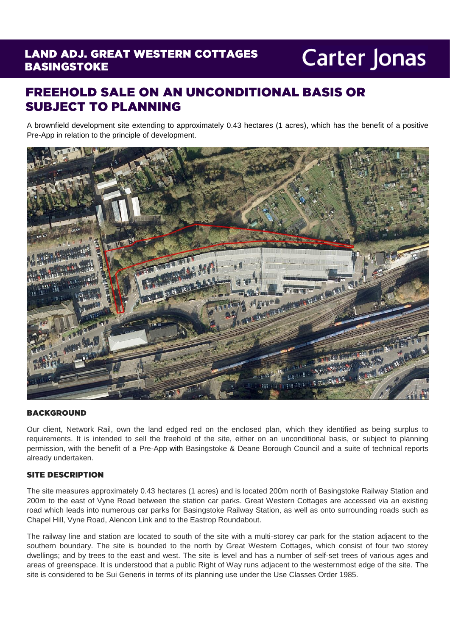### **LAND ADJ. GREAT WESTERN COTTAGES BASINGSTOKE**

# **Carter Jonas**

## **FREEHOLD SALE ON AN UNCONDITIONAL BASIS OR SUBJECT TO PLANNING**

A brownfield development site extending to approximately 0.43 hectares (1 acres), which has the benefit of a positive Pre-App in relation to the principle of development.



#### **BACKGROUND**

Our client, Network Rail, own the land edged red on the enclosed plan, which they identified as being surplus to requirements. It is intended to sell the freehold of the site, either on an unconditional basis, or subject to planning permission, with the benefit of a Pre-App with Basingstoke & Deane Borough Council and a suite of technical reports already undertaken.

#### **SITE DESCRIPTION**

The site measures approximately 0.43 hectares (1 acres) and is located 200m north of Basingstoke Railway Station and 200m to the east of Vyne Road between the station car parks. Great Western Cottages are accessed via an existing road which leads into numerous car parks for Basingstoke Railway Station, as well as onto surrounding roads such as Chapel Hill, Vyne Road, Alencon Link and to the Eastrop Roundabout.

The railway line and station are located to south of the site with a multi-storey car park for the station adjacent to the southern boundary. The site is bounded to the north by Great Western Cottages, which consist of four two storey dwellings; and by trees to the east and west. The site is level and has a number of self-set trees of various ages and areas of greenspace. It is understood that a public Right of Way runs adjacent to the westernmost edge of the site. The site is considered to be Sui Generis in terms of its planning use under the Use Classes Order 1985.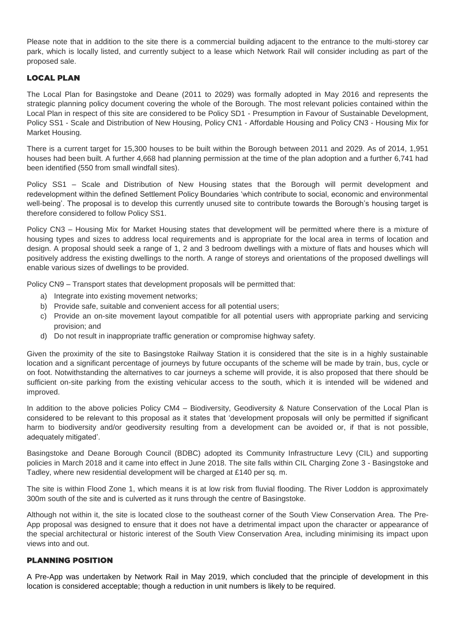Please note that in addition to the site there is a commercial building adjacent to the entrance to the multi-storey car park, which is locally listed, and currently subject to a lease which Network Rail will consider including as part of the proposed sale.

#### **LOCAL PLAN**

The Local Plan for Basingstoke and Deane (2011 to 2029) was formally adopted in May 2016 and represents the strategic planning policy document covering the whole of the Borough. The most relevant policies contained within the Local Plan in respect of this site are considered to be Policy SD1 - Presumption in Favour of Sustainable Development, Policy SS1 - Scale and Distribution of New Housing, Policy CN1 - Affordable Housing and Policy CN3 - Housing Mix for Market Housing.

There is a current target for 15,300 houses to be built within the Borough between 2011 and 2029. As of 2014, 1,951 houses had been built. A further 4,668 had planning permission at the time of the plan adoption and a further 6,741 had been identified (550 from small windfall sites).

Policy SS1 – Scale and Distribution of New Housing states that the Borough will permit development and redevelopment within the defined Settlement Policy Boundaries 'which contribute to social, economic and environmental well-being'. The proposal is to develop this currently unused site to contribute towards the Borough's housing target is therefore considered to follow Policy SS1.

Policy CN3 – Housing Mix for Market Housing states that development will be permitted where there is a mixture of housing types and sizes to address local requirements and is appropriate for the local area in terms of location and design. A proposal should seek a range of 1, 2 and 3 bedroom dwellings with a mixture of flats and houses which will positively address the existing dwellings to the north. A range of storeys and orientations of the proposed dwellings will enable various sizes of dwellings to be provided.

Policy CN9 – Transport states that development proposals will be permitted that:

- a) Integrate into existing movement networks;
- b) Provide safe, suitable and convenient access for all potential users;
- c) Provide an on-site movement layout compatible for all potential users with appropriate parking and servicing provision; and
- d) Do not result in inappropriate traffic generation or compromise highway safety.

Given the proximity of the site to Basingstoke Railway Station it is considered that the site is in a highly sustainable location and a significant percentage of journeys by future occupants of the scheme will be made by train, bus, cycle or on foot. Notwithstanding the alternatives to car journeys a scheme will provide, it is also proposed that there should be sufficient on-site parking from the existing vehicular access to the south, which it is intended will be widened and improved.

In addition to the above policies Policy CM4 – Biodiversity, Geodiversity & Nature Conservation of the Local Plan is considered to be relevant to this proposal as it states that 'development proposals will only be permitted if significant harm to biodiversity and/or geodiversity resulting from a development can be avoided or, if that is not possible, adequately mitigated'.

Basingstoke and Deane Borough Council (BDBC) adopted its Community Infrastructure Levy (CIL) and supporting policies in March 2018 and it came into effect in June 2018. The site falls within CIL Charging Zone 3 - Basingstoke and Tadley, where new residential development will be charged at £140 per sq. m.

The site is within Flood Zone 1, which means it is at low risk from fluvial flooding. The River Loddon is approximately 300m south of the site and is culverted as it runs through the centre of Basingstoke.

Although not within it, the site is located close to the southeast corner of the South View Conservation Area. The Pre-App proposal was designed to ensure that it does not have a detrimental impact upon the character or appearance of the special architectural or historic interest of the South View Conservation Area, including minimising its impact upon views into and out.

#### **PLANNING POSITION**

A Pre-App was undertaken by Network Rail in May 2019, which concluded that the principle of development in this location is considered acceptable; though a reduction in unit numbers is likely to be required.